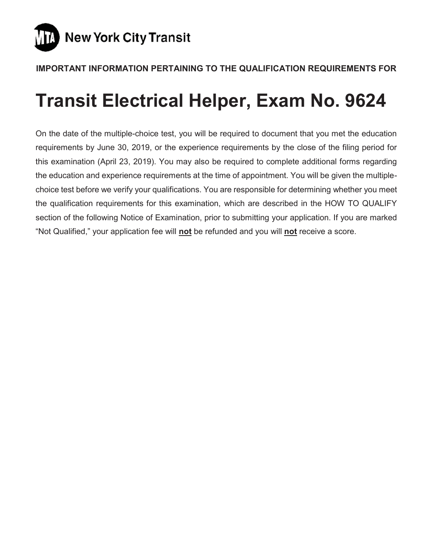

# **IMPORTANT INFORMATION PERTAINING TO THE QUALIFICATION REQUIREMENTS FOR**

# **Transit Electrical Helper, Exam No. 9624**

On the date of the multiple-choice test, you will be required to document that you met the education requirements by June 30, 2019, or the experience requirements by the close of the filing period for this examination (April 23, 2019). You may also be required to complete additional forms regarding the education and experience requirements at the time of appointment. You will be given the multiplechoice test before we verify your qualifications. You are responsible for determining whether you meet the qualification requirements for this examination, which are described in the HOW TO QUALIFY section of the following Notice of Examination, prior to submitting your application. If you are marked "Not Qualified," your application fee will **not** be refunded and you will **not** receive a score.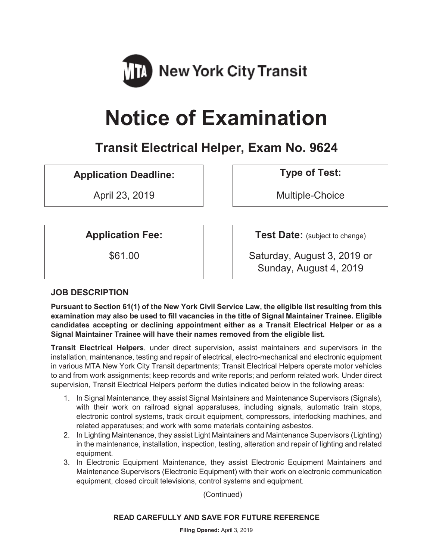

# **Notice of Examination**

# **Transit Electrical Helper, Exam No. 9624**

# **Application Deadline: Type of Test:**

April 23, 2019 and the Multiple-Choice

**Application Fee:**  $\vert$  **Test Date:** (subject to change)

\$61.00 Saturday, August 3, 2019 or Sunday, August 4, 2019

# **JOB DESCRIPTION**

**Pursuant to Section 61(1) of the New York Civil Service Law, the eligible list resulting from this examination may also be used to fill vacancies in the title of Signal Maintainer Trainee. Eligible candidates accepting or declining appointment either as a Transit Electrical Helper or as a Signal Maintainer Trainee will have their names removed from the eligible list.**

**Transit Electrical Helpers**, under direct supervision, assist maintainers and supervisors in the installation, maintenance, testing and repair of electrical, electro-mechanical and electronic equipment in various MTA New York City Transit departments; Transit Electrical Helpers operate motor vehicles to and from work assignments; keep records and write reports; and perform related work. Under direct supervision, Transit Electrical Helpers perform the duties indicated below in the following areas:

- 1. In Signal Maintenance, they assist Signal Maintainers and Maintenance Supervisors (Signals), with their work on railroad signal apparatuses, including signals, automatic train stops, electronic control systems, track circuit equipment, compressors, interlocking machines, and related apparatuses; and work with some materials containing asbestos.
- 2. In Lighting Maintenance, they assist Light Maintainers and Maintenance Supervisors (Lighting) in the maintenance, installation, inspection, testing, alteration and repair of lighting and related equipment.
- 3. In Electronic Equipment Maintenance, they assist Electronic Equipment Maintainers and Maintenance Supervisors (Electronic Equipment) with their work on electronic communication equipment, closed circuit televisions, control systems and equipment.

(Continued)

#### **READ CAREFULLY AND SAVE FOR FUTURE REFERENCE**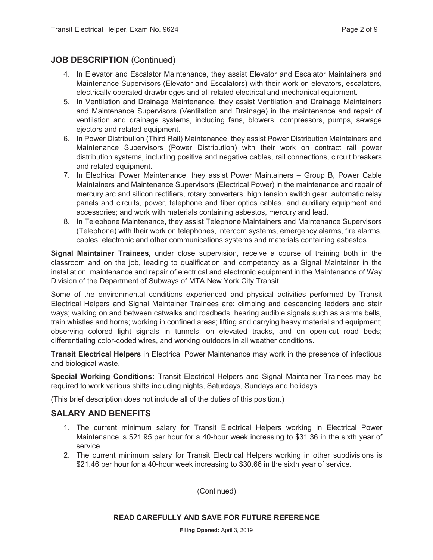# **JOB DESCRIPTION** (Continued)

- 4. In Elevator and Escalator Maintenance, they assist Elevator and Escalator Maintainers and Maintenance Supervisors (Elevator and Escalators) with their work on elevators, escalators, electrically operated drawbridges and all related electrical and mechanical equipment.
- 5. In Ventilation and Drainage Maintenance, they assist Ventilation and Drainage Maintainers and Maintenance Supervisors (Ventilation and Drainage) in the maintenance and repair of ventilation and drainage systems, including fans, blowers, compressors, pumps, sewage ejectors and related equipment.
- 6. In Power Distribution (Third Rail) Maintenance, they assist Power Distribution Maintainers and Maintenance Supervisors (Power Distribution) with their work on contract rail power distribution systems, including positive and negative cables, rail connections, circuit breakers and related equipment.
- 7. In Electrical Power Maintenance, they assist Power Maintainers Group B, Power Cable Maintainers and Maintenance Supervisors (Electrical Power) in the maintenance and repair of mercury arc and silicon rectifiers, rotary converters, high tension switch gear, automatic relay panels and circuits, power, telephone and fiber optics cables, and auxiliary equipment and accessories; and work with materials containing asbestos, mercury and lead.
- 8. In Telephone Maintenance, they assist Telephone Maintainers and Maintenance Supervisors (Telephone) with their work on telephones, intercom systems, emergency alarms, fire alarms, cables, electronic and other communications systems and materials containing asbestos.

**Signal Maintainer Trainees,** under close supervision, receive a course of training both in the classroom and on the job, leading to qualification and competency as a Signal Maintainer in the installation, maintenance and repair of electrical and electronic equipment in the Maintenance of Way Division of the Department of Subways of MTA New York City Transit.

Some of the environmental conditions experienced and physical activities performed by Transit Electrical Helpers and Signal Maintainer Trainees are: climbing and descending ladders and stair ways; walking on and between catwalks and roadbeds; hearing audible signals such as alarms bells, train whistles and horns; working in confined areas; lifting and carrying heavy material and equipment; observing colored light signals in tunnels, on elevated tracks, and on open-cut road beds; differentiating color-coded wires, and working outdoors in all weather conditions.

**Transit Electrical Helpers** in Electrical Power Maintenance may work in the presence of infectious and biological waste.

**Special Working Conditions:** Transit Electrical Helpers and Signal Maintainer Trainees may be required to work various shifts including nights, Saturdays, Sundays and holidays.

(This brief description does not include all of the duties of this position.)

#### **SALARY AND BENEFITS**

- 1. The current minimum salary for Transit Electrical Helpers working in Electrical Power Maintenance is \$21.95 per hour for a 40-hour week increasing to \$31.36 in the sixth year of service.
- 2. The current minimum salary for Transit Electrical Helpers working in other subdivisions is \$21.46 per hour for a 40-hour week increasing to \$30.66 in the sixth year of service.

(Continued)

**Filing Opened:** April 3, 2019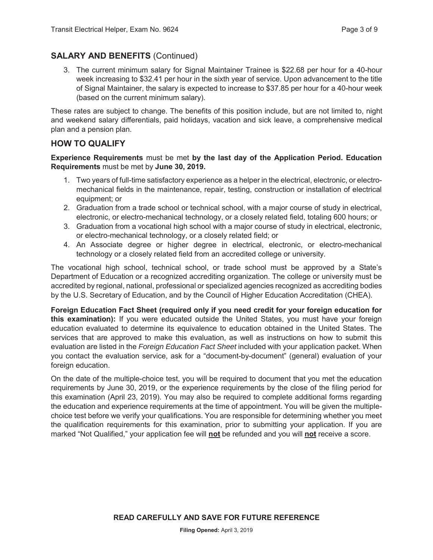# **SALARY AND BENEFITS** (Continued)

3. The current minimum salary for Signal Maintainer Trainee is \$22.68 per hour for a 40-hour week increasing to \$32.41 per hour in the sixth year of service. Upon advancement to the title of Signal Maintainer, the salary is expected to increase to \$37.85 per hour for a 40-hour week (based on the current minimum salary).

These rates are subject to change. The benefits of this position include, but are not limited to, night and weekend salary differentials, paid holidays, vacation and sick leave, a comprehensive medical plan and a pension plan.

#### **HOW TO QUALIFY**

#### **Experience Requirements** must be met **by the last day of the Application Period. Education Requirements** must be met by **June 30, 2019.**

- 1. Two years of full-time satisfactory experience as a helper in the electrical, electronic, or electromechanical fields in the maintenance, repair, testing, construction or installation of electrical equipment; or
- 2. Graduation from a trade school or technical school, with a major course of study in electrical, electronic, or electro-mechanical technology, or a closely related field, totaling 600 hours; or
- 3. Graduation from a vocational high school with a major course of study in electrical, electronic, or electro-mechanical technology, or a closely related field; or
- 4. An Associate degree or higher degree in electrical, electronic, or electro-mechanical technology or a closely related field from an accredited college or university.

The vocational high school, technical school, or trade school must be approved by a State's Department of Education or a recognized accrediting organization. The college or university must be accredited by regional, national, professional or specialized agencies recognized as accrediting bodies by the U.S. Secretary of Education, and by the Council of Higher Education Accreditation (CHEA).

**Foreign Education Fact Sheet (required only if you need credit for your foreign education for this examination):** If you were educated outside the United States, you must have your foreign education evaluated to determine its equivalence to education obtained in the United States. The services that are approved to make this evaluation, as well as instructions on how to submit this evaluation are listed in the *Foreign Education Fact Sheet* included with your application packet. When you contact the evaluation service, ask for a "document-by-document" (general) evaluation of your foreign education.

On the date of the multiple-choice test, you will be required to document that you met the education requirements by June 30, 2019, or the experience requirements by the close of the filing period for this examination (April 23, 2019). You may also be required to complete additional forms regarding the education and experience requirements at the time of appointment. You will be given the multiplechoice test before we verify your qualifications. You are responsible for determining whether you meet the qualification requirements for this examination, prior to submitting your application. If you are marked "Not Qualified," your application fee will **not** be refunded and you will **not** receive a score.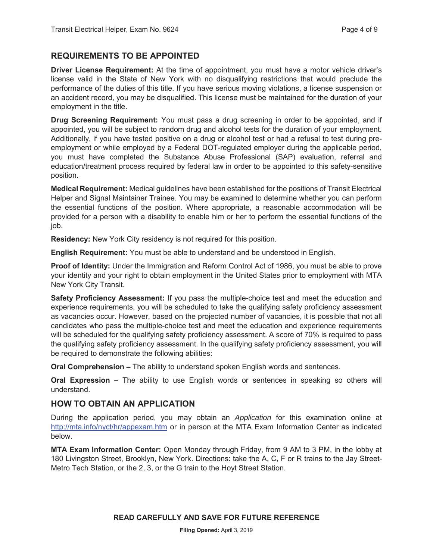#### **REQUIREMENTS TO BE APPOINTED**

**Driver License Requirement:** At the time of appointment, you must have a motor vehicle driver's license valid in the State of New York with no disqualifying restrictions that would preclude the performance of the duties of this title. If you have serious moving violations, a license suspension or an accident record, you may be disqualified. This license must be maintained for the duration of your employment in the title.

**Drug Screening Requirement:** You must pass a drug screening in order to be appointed, and if appointed, you will be subject to random drug and alcohol tests for the duration of your employment. Additionally, if you have tested positive on a drug or alcohol test or had a refusal to test during preemployment or while employed by a Federal DOT-regulated employer during the applicable period, you must have completed the Substance Abuse Professional (SAP) evaluation, referral and education/treatment process required by federal law in order to be appointed to this safety-sensitive position.

**Medical Requirement:** Medical guidelines have been established for the positions of Transit Electrical Helper and Signal Maintainer Trainee. You may be examined to determine whether you can perform the essential functions of the position. Where appropriate, a reasonable accommodation will be provided for a person with a disability to enable him or her to perform the essential functions of the job.

**Residency:** New York City residency is not required for this position.

**English Requirement:** You must be able to understand and be understood in English.

**Proof of Identity:** Under the Immigration and Reform Control Act of 1986, you must be able to prove your identity and your right to obtain employment in the United States prior to employment with MTA New York City Transit.

**Safety Proficiency Assessment:** If you pass the multiple-choice test and meet the education and experience requirements, you will be scheduled to take the qualifying safety proficiency assessment as vacancies occur. However, based on the projected number of vacancies, it is possible that not all candidates who pass the multiple-choice test and meet the education and experience requirements will be scheduled for the qualifying safety proficiency assessment. A score of 70% is required to pass the qualifying safety proficiency assessment. In the qualifying safety proficiency assessment, you will be required to demonstrate the following abilities:

**Oral Comprehension –** The ability to understand spoken English words and sentences.

**Oral Expression –** The ability to use English words or sentences in speaking so others will understand.

#### **HOW TO OBTAIN AN APPLICATION**

During the application period, you may obtain an *Application* for this examination online at http://mta.info/nyct/hr/appexam.htm or in person at the MTA Exam Information Center as indicated below.

**MTA Exam Information Center:** Open Monday through Friday, from 9 AM to 3 PM, in the lobby at 180 Livingston Street, Brooklyn, New York. Directions: take the A, C, F or R trains to the Jay Street-Metro Tech Station, or the 2, 3, or the G train to the Hoyt Street Station.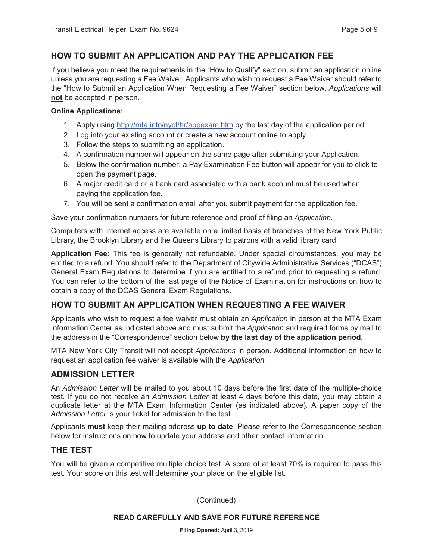### **HOW TO SUBMIT AN APPLICATION AND PAY THE APPLICATION FEE**

If you believe you meet the requirements in the "How to Qualify" section, submit an application online unless you are requesting a Fee Waiver. Applicants who wish to request a Fee Waiver should refer to the "How to Submit an Application When Requesting a Fee Waiver" section below. *Applications* will **not** be accepted in person.

#### **Online Applications**:

- 1. Apply using http://mta.info/nyct/hr/appexam.htm by the last day of the application period.
- 2. Log into your existing account or create a new account online to apply.
- 3. Follow the steps to submitting an application.
- 4. A confirmation number will appear on the same page after submitting your Application.
- 5. Below the confirmation number, a Pay Examination Fee button will appear for you to click to open the payment page.
- 6. A major credit card or a bank card associated with a bank account must be used when paying the application fee.
- 7. You will be sent a confirmation email after you submit payment for the application fee.

Save your confirmation numbers for future reference and proof of filing an *Application.*

Computers with internet access are available on a limited basis at branches of the New York Public Library, the Brooklyn Library and the Queens Library to patrons with a valid library card.

**Application Fee:** This fee is generally not refundable. Under special circumstances, you may be entitled to a refund. You should refer to the Department of Citywide Administrative Services ("DCAS") General Exam Regulations to determine if you are entitled to a refund prior to requesting a refund. You can refer to the bottom of the last page of the Notice of Examination for instructions on how to obtain a copy of the DCAS General Exam Regulations.

# **HOW TO SUBMIT AN APPLICATION WHEN REQUESTING A FEE WAIVER**

Applicants who wish to request a fee waiver must obtain an *Application* in person at the MTA Exam Information Center as indicated above and must submit the *Application* and required forms by mail to the address in the "Correspondence" section below **by the last day of the application period**.

MTA New York City Transit will not accept *Applications* in person. Additional information on how to request an application fee waiver is available with the *Application.*

#### **ADMISSION LETTER**

An *Admission Letter* will be mailed to you about 10 days before the first date of the multiple-choice test. If you do not receive an *Admission Letter* at least 4 days before this date, you may obtain a duplicate letter at the MTA Exam Information Center (as indicated above). A paper copy of the *Admission Letter* is your ticket for admission to the test.

Applicants **must** keep their mailing address **up to date**. Please refer to the Correspondence section below for instructions on how to update your address and other contact information.

#### **THE TEST**

You will be given a competitive multiple choice test. A score of at least 70% is required to pass this test. Your score on this test will determine your place on the eligible list.

(Continued)

#### **READ CAREFULLY AND SAVE FOR FUTURE REFERENCE**

**Filing Opened:** April 3, 2019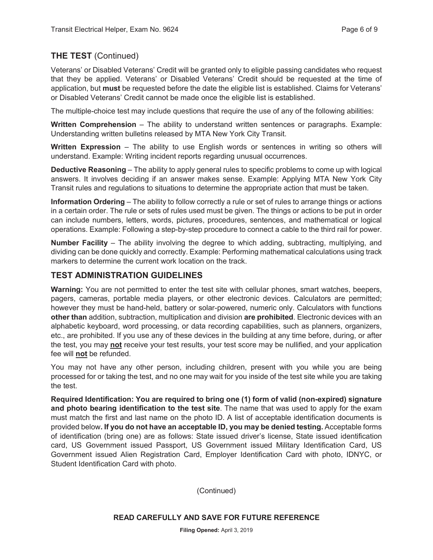# **THE TEST** (Continued)

Veterans' or Disabled Veterans' Credit will be granted only to eligible passing candidates who request that they be applied. Veterans' or Disabled Veterans' Credit should be requested at the time of application, but **must** be requested before the date the eligible list is established. Claims for Veterans' or Disabled Veterans' Credit cannot be made once the eligible list is established.

The multiple-choice test may include questions that require the use of any of the following abilities:

**Written Comprehension** – The ability to understand written sentences or paragraphs. Example: Understanding written bulletins released by MTA New York City Transit.

**Written Expression** – The ability to use English words or sentences in writing so others will understand. Example: Writing incident reports regarding unusual occurrences.

**Deductive Reasoning** – The ability to apply general rules to specific problems to come up with logical answers. It involves deciding if an answer makes sense. Example: Applying MTA New York City Transit rules and regulations to situations to determine the appropriate action that must be taken.

**Information Ordering** – The ability to follow correctly a rule or set of rules to arrange things or actions in a certain order. The rule or sets of rules used must be given. The things or actions to be put in order can include numbers, letters, words, pictures, procedures, sentences, and mathematical or logical operations. Example: Following a step-by-step procedure to connect a cable to the third rail for power.

**Number Facility** – The ability involving the degree to which adding, subtracting, multiplying, and dividing can be done quickly and correctly. Example: Performing mathematical calculations using track markers to determine the current work location on the track.

# **TEST ADMINISTRATION GUIDELINES**

**Warning:** You are not permitted to enter the test site with cellular phones, smart watches, beepers, pagers, cameras, portable media players, or other electronic devices. Calculators are permitted; however they must be hand-held, battery or solar-powered, numeric only. Calculators with functions **other than** addition, subtraction, multiplication and division **are prohibited**. Electronic devices with an alphabetic keyboard, word processing, or data recording capabilities, such as planners, organizers, etc., are prohibited. If you use any of these devices in the building at any time before, during, or after the test, you may **not** receive your test results, your test score may be nullified, and your application fee will **not** be refunded.

You may not have any other person, including children, present with you while you are being processed for or taking the test, and no one may wait for you inside of the test site while you are taking the test.

**Required Identification: You are required to bring one (1) form of valid (non-expired) signature and photo bearing identification to the test site**. The name that was used to apply for the exam must match the first and last name on the photo ID. A list of acceptable identification documents is provided below**. If you do not have an acceptable ID, you may be denied testing.** Acceptable forms of identification (bring one) are as follows: State issued driver's license, State issued identification card, US Government issued Passport, US Government issued Military Identification Card, US Government issued Alien Registration Card, Employer Identification Card with photo, IDNYC, or Student Identification Card with photo.

(Continued)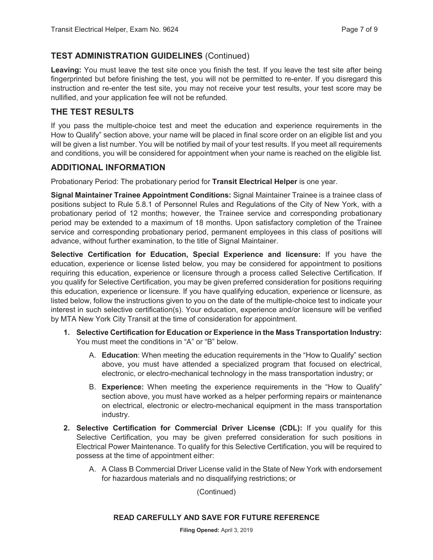# **TEST ADMINISTRATION GUIDELINES** (Continued)

**Leaving:** You must leave the test site once you finish the test. If you leave the test site after being fingerprinted but before finishing the test, you will not be permitted to re-enter. If you disregard this instruction and re-enter the test site, you may not receive your test results, your test score may be nullified, and your application fee will not be refunded.

# **THE TEST RESULTS**

If you pass the multiple-choice test and meet the education and experience requirements in the How to Qualify" section above, your name will be placed in final score order on an eligible list and you will be given a list number. You will be notified by mail of your test results. If you meet all requirements and conditions, you will be considered for appointment when your name is reached on the eligible list.

### **ADDITIONAL INFORMATION**

Probationary Period: The probationary period for **Transit Electrical Helper** is one year.

**Signal Maintainer Trainee Appointment Conditions:** Signal Maintainer Trainee is a trainee class of positions subject to Rule 5.8.1 of Personnel Rules and Regulations of the City of New York, with a probationary period of 12 months; however, the Trainee service and corresponding probationary period may be extended to a maximum of 18 months. Upon satisfactory completion of the Trainee service and corresponding probationary period, permanent employees in this class of positions will advance, without further examination, to the title of Signal Maintainer.

**Selective Certification for Education, Special Experience and licensure:** If you have the education, experience or license listed below, you may be considered for appointment to positions requiring this education, experience or licensure through a process called Selective Certification. If you qualify for Selective Certification, you may be given preferred consideration for positions requiring this education, experience or licensure. If you have qualifying education, experience or licensure, as listed below, follow the instructions given to you on the date of the multiple-choice test to indicate your interest in such selective certification(s). Your education, experience and/or licensure will be verified by MTA New York City Transit at the time of consideration for appointment.

- **1. Selective Certification for Education or Experience in the Mass Transportation Industry:**  You must meet the conditions in "A" or "B" below.
	- A. **Education**: When meeting the education requirements in the "How to Qualify" section above, you must have attended a specialized program that focused on electrical, electronic, or electro-mechanical technology in the mass transportation industry; or
	- B. **Experience:** When meeting the experience requirements in the "How to Qualify" section above, you must have worked as a helper performing repairs or maintenance on electrical, electronic or electro-mechanical equipment in the mass transportation industry.
- **2. Selective Certification for Commercial Driver License (CDL):** If you qualify for this Selective Certification, you may be given preferred consideration for such positions in Electrical Power Maintenance. To qualify for this Selective Certification, you will be required to possess at the time of appointment either:
	- A. A Class B Commercial Driver License valid in the State of New York with endorsement for hazardous materials and no disqualifying restrictions; or

#### (Continued)

#### **READ CAREFULLY AND SAVE FOR FUTURE REFERENCE**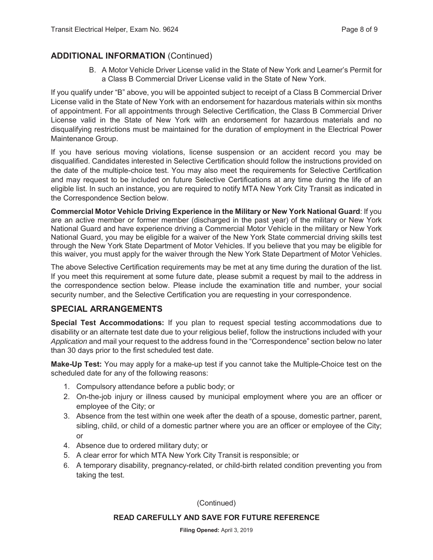# **ADDITIONAL INFORMATION** (Continued)

B. A Motor Vehicle Driver License valid in the State of New York and Learner's Permit for a Class B Commercial Driver License valid in the State of New York.

If you qualify under "B" above, you will be appointed subject to receipt of a Class B Commercial Driver License valid in the State of New York with an endorsement for hazardous materials within six months of appointment. For all appointments through Selective Certification, the Class B Commercial Driver License valid in the State of New York with an endorsement for hazardous materials and no disqualifying restrictions must be maintained for the duration of employment in the Electrical Power Maintenance Group.

If you have serious moving violations, license suspension or an accident record you may be disqualified. Candidates interested in Selective Certification should follow the instructions provided on the date of the multiple-choice test. You may also meet the requirements for Selective Certification and may request to be included on future Selective Certifications at any time during the life of an eligible list. In such an instance, you are required to notify MTA New York City Transit as indicated in the Correspondence Section below.

**Commercial Motor Vehicle Driving Experience in the Military or New York National Guard**: If you are an active member or former member (discharged in the past year) of the military or New York National Guard and have experience driving a Commercial Motor Vehicle in the military or New York National Guard, you may be eligible for a waiver of the New York State commercial driving skills test through the New York State Department of Motor Vehicles. If you believe that you may be eligible for this waiver, you must apply for the waiver through the New York State Department of Motor Vehicles.

The above Selective Certification requirements may be met at any time during the duration of the list. If you meet this requirement at some future date, please submit a request by mail to the address in the correspondence section below. Please include the examination title and number, your social security number, and the Selective Certification you are requesting in your correspondence.

#### **SPECIAL ARRANGEMENTS**

**Special Test Accommodations:** If you plan to request special testing accommodations due to disability or an alternate test date due to your religious belief, follow the instructions included with your *Application* and mail your request to the address found in the "Correspondence" section below no later than 30 days prior to the first scheduled test date.

**Make-Up Test:** You may apply for a make-up test if you cannot take the Multiple-Choice test on the scheduled date for any of the following reasons:

- 1. Compulsory attendance before a public body; or
- 2. On-the-job injury or illness caused by municipal employment where you are an officer or employee of the City; or
- 3. Absence from the test within one week after the death of a spouse, domestic partner, parent, sibling, child, or child of a domestic partner where you are an officer or employee of the City; or
- 4. Absence due to ordered military duty; or
- 5. A clear error for which MTA New York City Transit is responsible; or
- 6. A temporary disability, pregnancy-related, or child-birth related condition preventing you from taking the test.

(Continued)

#### **READ CAREFULLY AND SAVE FOR FUTURE REFERENCE**

**Filing Opened:** April 3, 2019